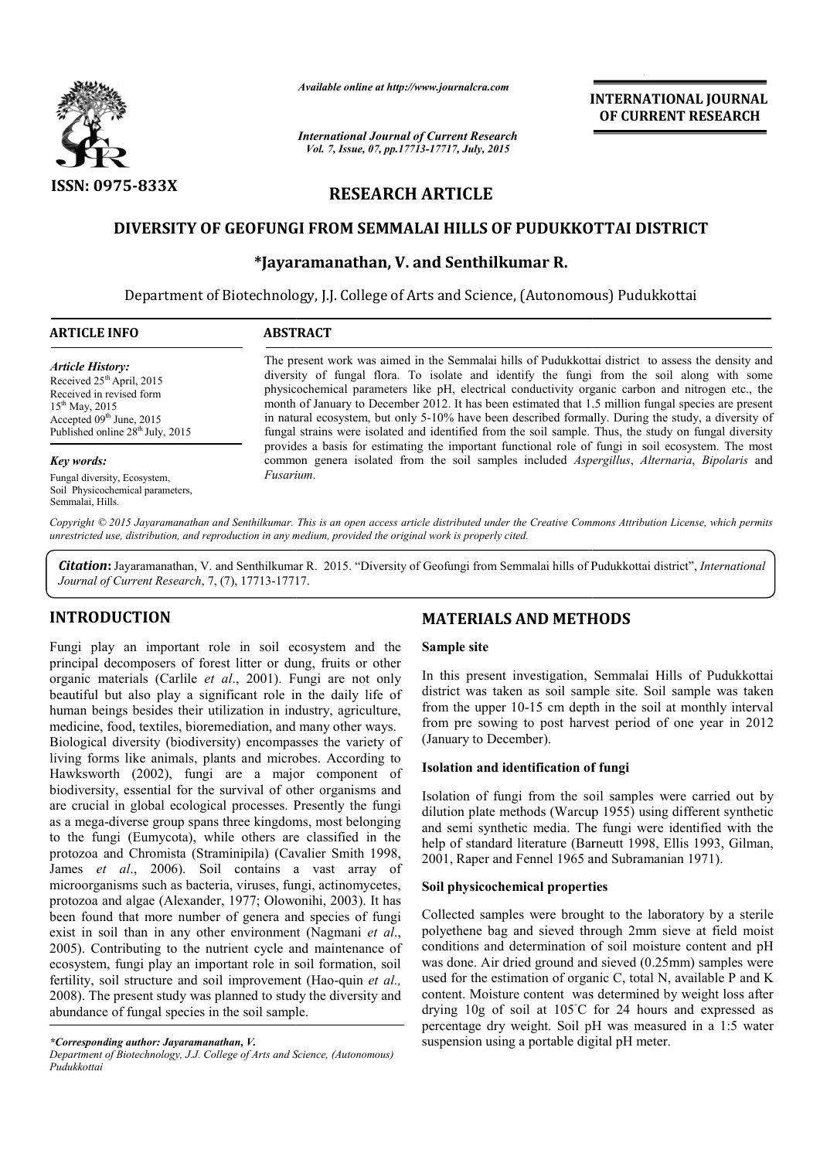

*Available online at http://www.journalcra.com*

*International Journal of Current Research Vol. 7, Issue, 07, pp.17713-17717, July, 2015*

**INTERNATIONAL INTERNATIONAL JOURNAL OF CURRENT RESEARCH** 

# **RESEARCH ARTICLE**

## **DIVERSITY OF GEOFUNGI FROM SEMMALAI HILLS OF PUDUKKOTTAI DISTRICT OF PUDUKKOTTAI**

## **\*Jayaramanathan Jayaramanathan, V. and Senthilkumar R.**

Department of Biotechnology Biotechnology, J.J. College of Arts and Science, (Autonomous) Pudukkottai

| <b>ARTICLE INFO</b>                                                                                                                                                              | <b>ABSTRACT</b>                                                                                                                                                                                                                                                                                                                                                                                                                                                                                                                                                                                                               |
|----------------------------------------------------------------------------------------------------------------------------------------------------------------------------------|-------------------------------------------------------------------------------------------------------------------------------------------------------------------------------------------------------------------------------------------------------------------------------------------------------------------------------------------------------------------------------------------------------------------------------------------------------------------------------------------------------------------------------------------------------------------------------------------------------------------------------|
| Article History:<br>Received $25th$ April, 2015<br>Received in revised form<br>$15^{th}$ May, 2015<br>Accepted $09th$ June, 2015<br>Published online 28 <sup>th</sup> July, 2015 | The present work was aimed in the Semmalai hills of Pudukkottai district to assess the density and<br>diversity of fungal flora. To isolate and identify the fungi from the soil along with some<br>physicochemical parameters like pH, electrical conductivity organic carbon and nitrogen etc., the<br>month of January to December 2012. It has been estimated that 1.5 million fungal species are present<br>in natural ecosystem, but only 5-10% have been described formally. During the study, a diversity of<br>fungal strains were isolated and identified from the soil sample. Thus, the study on fungal diversity |
| Key words:                                                                                                                                                                       | provides a basis for estimating the important functional role of fungi in soil ecosystem. The most<br>common genera isolated from the soil samples included Aspergillus, Alternaria, Bipolaris and                                                                                                                                                                                                                                                                                                                                                                                                                            |
| Fungal diversity, Ecosystem,<br>Soil Physicochemical parameters,                                                                                                                 | Fusarium.                                                                                                                                                                                                                                                                                                                                                                                                                                                                                                                                                                                                                     |

Copyright © 2015 Jayaramanathan and Senthilkumar. This is an open access article distributed under the Creative Commons Attribution License, which permits *unrestricted use, distribution, and reproduction in any medium, provided the original work is properly cited.*

Citation: Jayaramanathan, V. and Senthilkumar R. 2015. "Diversity of Geofungi from Semmalai hills of Pudukkottai district", *International* Journal of Current Research, 7, (7), 17713-17717.

## **INTRODUCTION**

Semmalai, Hills.

Fungi play an important role in soil ecosystem and the principal decomposers of forest litter or dung, fruits or other organic materials (Carlile *et al*., 2001). Fungi are not only beautiful but also play a significant role in the daily life of human beings besides their utilization in industry, agriculture, medicine, food, textiles, bioremediation, and many other ways.

Biological diversity (biodiversity) encompasses the variety of living forms like animals, plants and microbes. According to Hawksworth (2002), fungi are a major component of biodiversity, essential for the survival of other organisms and are crucial in global ecological processes. Presently the fungi as a mega-diverse group spans three kingdoms, most belonging to the fungi (Eumycota), while others are classified in the protozoa and Chromista (Straminipila) (Cavalier Smith 1998, James *et al*., 2006). Soil contains a vast array of microorganisms such as bacteria, viruses, fungi, actinomycetes, protozoa and algae (Alexander, 1977; Olowonihi, 2003). It has been found that more number of genera and species of fungi exist in soil than in any other environment (Nagmani *et al*., 2005). Contributing to the nutrient cycle and maintenance of ecosystem, fungi play an important role in soil formation, soil fertility, soil structure and soil improvement (Hao-quin *et al.*, 2008). The present study was planned to study the diversity and abundance of fungal species in the soil sample. th (2002), fungi are a n<br>y, essential for the survival of<br>in global ecological processe<br>diverse group spans three king<br>gi (Eumycota), while others **MATERIALS AND METHODS**<br> **MATERIALS AND METHODS**<br> *dl.*, 2001). Fungi are not only<br> *al.*, 2001, Fungi are not only<br> *ln* this present investigation, Semm<br>
inficant role in the daily life of district was taken as soil sam

#### *\*Corresponding author: Jayaramanathan, V.*

### **Sample site**

In this present investigation, Semmalai Hills of Pudukkottai district was taken as soil sample site. Soil sample was taken district was taken as soil sample site. Soil sample was taken<br>from the upper 10-15 cm depth in the soil at monthly interval from pre sowing to post harvest period of one year in 2012 (January to December).

#### **Isolation and identification of fungi**

Isolation of fungi from the soil samples were carried out by Isolation of fungi from the soil samples were carried out by dilution plate methods (Warcup 1955) using different synthetic and semi synthetic media. The fungi were identified with the help of standard literature (Barneutt 1998, Ellis 1993, Gilman, 2001, Raper and Fennel 1965 and Subramanian 1971). and semi synthetic media. The fungi were identified with the help of standard literature (Barneutt 1998, Ellis 1993, Gilman, 2001, Raper and Fennel 1965 and Subramanian 1971).

#### **Soil physicochemical properties physicochemical properties**

Collected samples were brought to the laboratory by a sterile polyethene bag and sieved through 2mm sieve at field moist conditions and determination of soil moisture content and pH was done. Air dried ground and sieved (0.25mm) samples were used for the estimation of organic C, total N, available P and K content. Moisture content was determined by weight loss after drying 10g of soil at 105◦ C for 24 hours and expressed as content. Moisture content was determined by weight loss after drying 10g of soil at 105°C for 24 hours and expressed as percentage dry weight. Soil pH was measured in a 1:5 water suspension using a portable digital pH meter. ethene bag and sieved through 2mm sieve at field moist<br>litions and determination of soil moisture content and pH<br>done. Air dried ground and sieved (0.25mm) samples were<br>for the estimation of organic C, total N, available P

*Department of Biotechnology, J.J. College of Arts and Science, (Autonomous) Pudukkottai*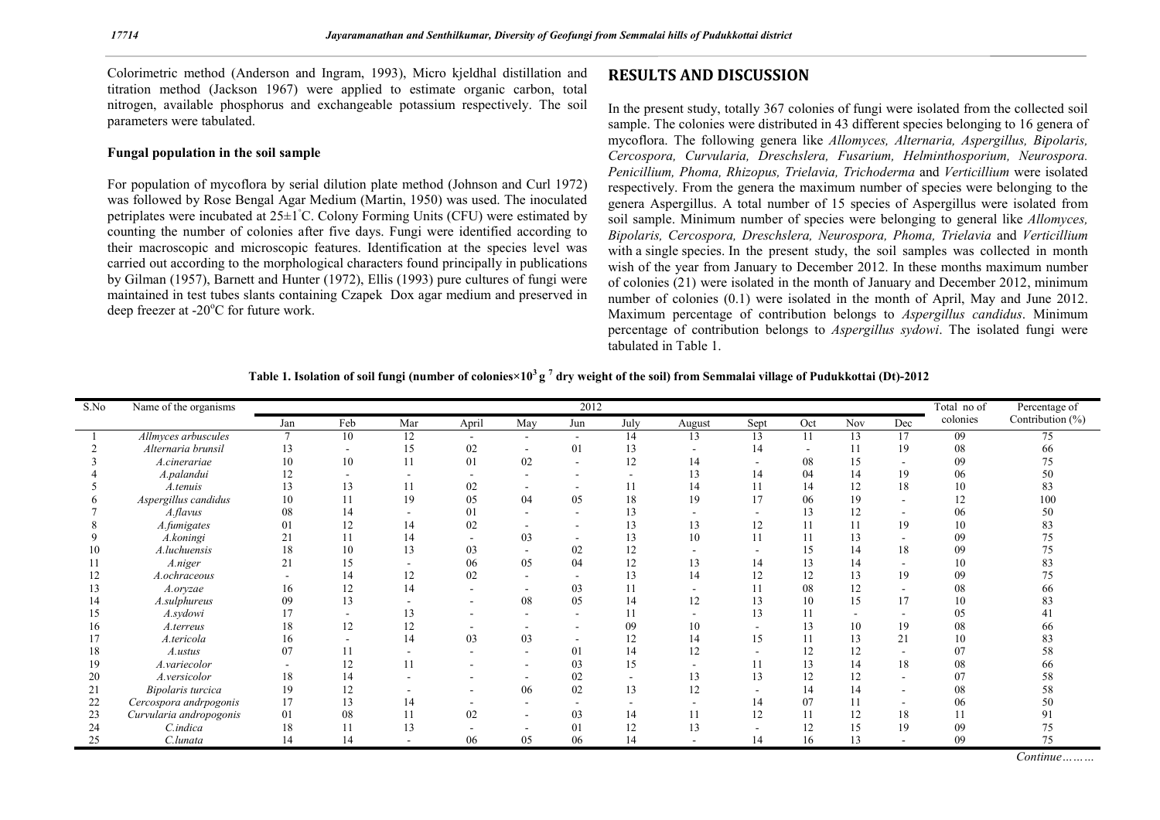Colorimetric method (Anderson and Ingram, 1993), Micro kjeldhal distillation and titration method (Jackson 1967) were applied to estimate organic carbon, total nitrogen, available phosphorus and exchangeable potassium respectively. The soil parameters were tabulated.

### **Fungal population in the soil sample**

For population of mycoflora by serial dilution plate method (Johnson and Curl 1972) was followed by Rose Bengal Agar Medium (Martin, 1950) was used. The inoculated petriplates were incubated at 25±1℃. Colony Forming Units (CFU) were estimated by counting the number of colonies after five days. Fungi were identified according to their macroscopic and microscopic features. Identification at the species level was carried out according to the morphological characters found principally in publications by Gilman (1957), Barnett and Hunter (1972), Ellis (1993) pure cultures of fungi were maintained in test tubes slants containing Czapek Dox agar medium and preserved in deep freezer at -20°C for future work.

## **RESULTS AND DISCUSSION**

In the present study, totally 367 colonies of fungi were isolated from the collected soil sample. The colonies were distributed in 43 different species belonging to 16 genera of mycoflora. The following genera like *Allomyces, Alternaria, Aspergillus, Bipolaris, Cercospora, Curvularia, Dreschslera, Fusarium, Helminthosporium, Neurospora. Penicillium, Phoma, Rhizopus, Trielavia, Trichoderma* and *Verticillium* were isolated respectively. From the genera the maximum number of species were belonging to the genera Aspergillus. A total number of 15 species of Aspergillus were isolated from soil sample. Minimum number of species were belonging to general like *Allomyces, Bipolaris, Cercospora, Dreschslera, Neurospora, Phoma, Trielavia* and *Verticillium* with a single species. In the present study, the soil samples was collected in month wish of the year from January to December 2012. In these months maximum number of colonies (21) were isolated in the month of January and December 2012, minimum number of colonies  $(0.1)$  were isolated in the month of April, May and June 2012. Maximum percentage of contribution belongs to *Aspergillus candidus*. Minimum percentage of contribution belongs to *Aspergillus sydowi*. The isolated fungi were tabulated in Table 1.

|  |  |  | Table 1. Isolation of soil fungi (number of colonies×10 $^3$ g $^7$ dry weight of the soil) from Semmalai village of Pudukkottai (Dt)-2012 |
|--|--|--|--------------------------------------------------------------------------------------------------------------------------------------------|
|--|--|--|--------------------------------------------------------------------------------------------------------------------------------------------|

| S.No | Name of the organisms   | 2012 |                      |     |       |     |                          |      |        |      |     |     | Total no of              | Percentage of |                  |
|------|-------------------------|------|----------------------|-----|-------|-----|--------------------------|------|--------|------|-----|-----|--------------------------|---------------|------------------|
|      |                         | Jan  | Feb                  | Mar | April | May | Jun                      | July | August | Sept | Oct | Nov | Dec                      | colonies      | Contribution (%) |
|      | Allmyces arbuscules     |      | 10                   | 12  |       |     | $\overline{\phantom{a}}$ | 14   | 13     | 13   | 11  | 13  | 17                       | 09            | 75               |
|      | Alternaria brunsil      | 13   |                      | 15  | 02    |     | 01                       | 13   |        | 14   |     |     | 19                       | 08            | 66               |
|      | A.cinerariae            | 10   | 10                   | 11  | 01    | 02  | $\overline{\phantom{a}}$ | 12   | 14     |      | 08  | 15  | ۰                        | 09            | 75               |
|      | A.palandui              | 12   |                      |     |       |     |                          |      | 13     | 14   | 04  | 14  | 19                       | 06            | 50               |
|      | A.tenuis                | 13   | 13                   | 11  | 02    |     |                          |      | 14     | 11   | 14  | 12  | 18                       | 10            | 83               |
|      | Aspergillus candidus    | 10   | 11                   | 19  | 05    | 04  | 05                       | 18   | 19     | 17   | 06  | 19  | ۰                        | 12            | 100              |
|      | A.flavus                | 08   | 14                   |     | 01    |     |                          | 13   |        |      | 13  | 12  |                          | 06            | 50               |
|      | A.fumigates             | 01   | 12                   | 14  | 02    |     |                          | 13   | 13     | 12   |     |     | 19                       | 10            | 83               |
|      | A.koningi               | 21   | $\mathbf{1}^{\circ}$ | 14  |       | 03  |                          | 13   | 10     |      |     | 13  |                          | 09            | 75               |
| 10   | A.luchuensis            | 18   | 10                   | 13  | 03    |     | 02                       | 12   |        |      | 15  | 14  | 18                       | 09            | 75               |
|      | A.niger                 | 21   | 15                   |     | 06    | 05  | 04                       | 12   | 13     | 14   |     | 14  | ٠                        | 10            | 83               |
| 12   | A.ochraceous            |      | 14                   | 12  | 02    |     |                          | 13   | 14     | 12   |     | 13  | 19                       | 09            | 75               |
|      | A.orvzae                | 16   | 12                   | 14  |       |     | 03                       | 11   |        |      | 08  | 12  | ۰                        | 08            | 66               |
| 14   | A.sulphureus            | 09   | 13                   |     |       | 08  | 05                       | 14   | 12     | 13   | 10  | 15  | 17                       | 10            | 83               |
| 15   | A.sydowi                | 17   |                      | 13  |       |     |                          |      |        | 13   |     |     |                          | 05            |                  |
| 16   | A.terreus               | 18   | 12                   | 12  |       |     |                          | 09   | 10     |      | 13  | 10  | 19                       | 08            | 66               |
|      | A.tericola              | 16   |                      | 14  | 03    | 03  | $\overline{\phantom{a}}$ | 12   | 14     | 15   |     | 13  | 21                       | 10            | 83               |
| 18   | A.ustus                 | 07   |                      |     |       |     | 01                       | 14   | 12     |      |     | 12  |                          | 07            | 58               |
| 19   | A.variecolor            |      | 12                   | 11  |       |     | 03                       | 15   |        |      |     | 14  | 18                       | 08            | 66               |
| 20   | A.versicolor            | 18   | 14                   |     |       |     | 02                       |      | 13     | 13   | 12  | 12  | ۰                        | 07            | 58               |
| 21   | Bipolaris turcica       | 19   | 12                   |     |       | 06  | 02                       | 13   | 12     |      |     | 14  |                          | 08            | 58               |
| 22   | Cercospora andrpogonis  | 17   | 13                   | 14  |       |     | $\overline{\phantom{a}}$ |      |        | 14   |     |     | $\overline{\phantom{a}}$ | 06            | 50               |
| 23   | Curvularia andropogonis | 01   | 08                   | 11  | 02    |     | 03                       | 14   |        | 12   |     | 12  | 18                       | 11            |                  |
| 24   | C.indica                | 18   |                      | 13  |       |     | 01                       | 12   |        |      | l 4 | 15  | 19                       | 09            | 75               |
| 25   | C.lunata                | 14   | 14                   |     | 06    | 05  | 06                       | 14   |        | 14   | 16  | 13  |                          | 09            | 75               |

*Continue………*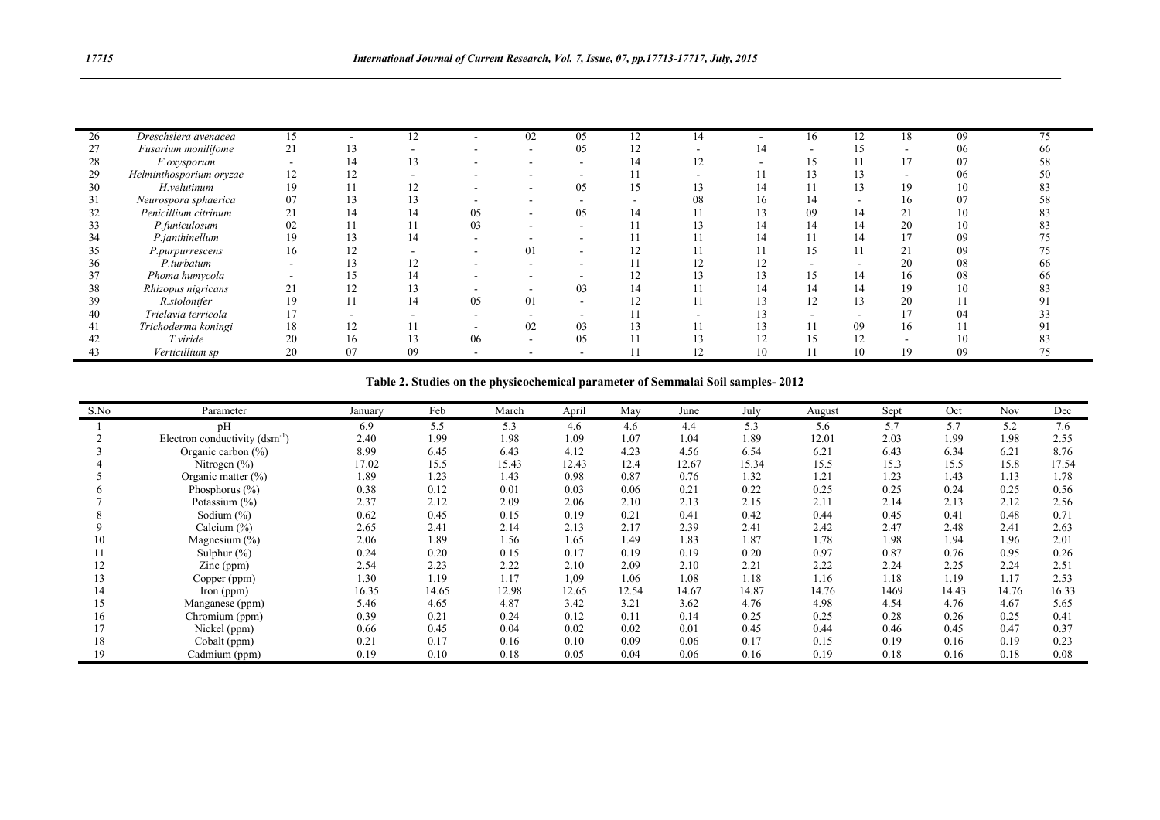| 26 | Dreschslera avenacea    | 15 |              | 12 |                          | 02                       | 05                       | 12 | 14                | $\overline{\phantom{a}}$ | 16                       | 12                          | 18  | 09 | 75 |
|----|-------------------------|----|--------------|----|--------------------------|--------------------------|--------------------------|----|-------------------|--------------------------|--------------------------|-----------------------------|-----|----|----|
|    | Fusarium monilifome     | 21 | 13           |    |                          |                          | 05                       | 12 |                   | 14                       | $\overline{\phantom{a}}$ | 15                          |     | 06 | 66 |
| 28 | <i>F.oxysporum</i>      |    |              |    |                          | -                        | $\overline{\phantom{a}}$ | 14 | 12                |                          | 15                       |                             |     | 07 |    |
| 29 | Helminthosporium oryzae | 12 | 14           |    |                          |                          |                          |    |                   |                          |                          |                             |     | 06 |    |
| 30 | H.velutinum             | 19 | -1-1         | 12 | $\overline{\phantom{0}}$ |                          | 05                       | 15 | $1^{\circ}$<br>15 | 14                       | -11                      | $1^{\circ}$<br>$12^{\circ}$ | 19  | 10 | 83 |
| 31 | Neurospora sphaerica    | 07 | $\sim$<br>13 |    |                          |                          | $\sim$                   |    | 08                | 16                       | 14                       | -                           | 16  |    |    |
| 32 | Penicillium citrinum    | 21 | 14           | 14 | 05                       |                          | 05                       | 14 |                   | 13                       | 09                       | 14                          | ∠ 1 | 10 |    |
| 33 | P.funiculosum           | 02 | 11           |    | 03                       |                          | $\sim$                   |    | $1^{\circ}$       | 14                       | 14                       | 14                          | 20  | 10 |    |
| 34 | P.janthinellum          | 19 | 13           | 14 | -                        |                          |                          |    |                   | 14                       | 11                       | 14                          |     | 09 |    |
| 35 | P.purpurrescens         | 16 | 12           |    |                          | 01                       | $\sim$                   | 14 |                   |                          | 15                       |                             | ∠⊥  | 09 |    |
| 36 | P.turbatum              |    |              |    | $\overline{\phantom{0}}$ | $\overline{\phantom{0}}$ |                          |    | $1^{\circ}$       | $1^{\circ}$<br>14        | -                        |                             | 20  | 08 | 66 |
| 37 | Phoma humycola          |    |              | 14 |                          |                          |                          | 14 |                   | 13                       |                          | 14                          | 16  | 08 | 66 |
| 38 | Rhizopus nigricans      | 41 | 14           |    |                          |                          | 03                       | 14 |                   | 14                       | 14                       | 14                          | 19  | 10 |    |
| 39 | R.stolonifer            | 19 | -1-1         | 14 | 05                       | 01                       | -                        | 14 |                   | 13                       | 12                       | 13                          | 20  |    |    |
| 40 | Trielavia terricola     |    |              |    |                          |                          |                          |    |                   | 13                       |                          |                             |     |    |    |
| 41 | Trichoderma koningi     | 18 |              |    |                          | 02                       | 03                       |    |                   | 13                       |                          | 09                          | 16  |    |    |
| 42 | T.viride                | 20 | 16           |    | 06                       |                          | 05                       |    |                   | ⊥ ∠                      | 15                       | - 1                         |     |    |    |
| 43 | Verticillium sp         | 20 | 07           | 09 | $\overline{\phantom{a}}$ |                          | $\overline{\phantom{a}}$ |    | 12                | 10                       |                          | 10                          | 19  | 09 |    |

**Table 2. Studies on the physicochemical parameter of Semmalai Soil samples- 2012**

| S.No | Parameter                          | January | Feb   | March | April | May   | June  | July  | August | Sept | Oct   | <b>Nov</b> | Dec   |
|------|------------------------------------|---------|-------|-------|-------|-------|-------|-------|--------|------|-------|------------|-------|
|      | pH                                 | 6.9     | 5.5   | 5.3   | 4.6   | 4.6   | 4.4   | 5.3   | 5.6    | 5.7  | 5.7   | 5.2        | 7.6   |
|      | Electron conductivity $(dsm^{-1})$ | 2.40    | 1.99  | 1.98  | 1.09  | 1.07  | 1.04  | 1.89  | 12.01  | 2.03 | 1.99  | 1.98       | 2.55  |
|      | Organic carbon $(\% )$             | 8.99    | 6.45  | 6.43  | 4.12  | 4.23  | 4.56  | 6.54  | 6.21   | 6.43 | 6.34  | 6.21       | 8.76  |
|      | Nitrogen $(\% )$                   | 17.02   | 15.5  | 15.43 | 12.43 | 12.4  | 12.67 | 15.34 | 15.5   | 15.3 | 15.5  | 15.8       | 17.54 |
|      | Organic matter $(\% )$             | 1.89    | 1.23  | 1.43  | 0.98  | 0.87  | 0.76  | 1.32  | 1.21   | 1.23 | 1.43  | 1.13       | 1.78  |
|      | Phosphorus $(\% )$                 | 0.38    | 0.12  | 0.01  | 0.03  | 0.06  | 0.21  | 0.22  | 0.25   | 0.25 | 0.24  | 0.25       | 0.56  |
|      | Potassium (%)                      | 2.37    | 2.12  | 2.09  | 2.06  | 2.10  | 2.13  | 2.15  | 2.11   | 2.14 | 2.13  | 2.12       | 2.56  |
|      | Sodium $(\% )$                     | 0.62    | 0.45  | 0.15  | 0.19  | 0.21  | 0.41  | 0.42  | 0.44   | 0.45 | 0.41  | 0.48       | 0.71  |
|      | Calcium $(\% )$                    | 2.65    | 2.41  | 2.14  | 2.13  | 2.17  | 2.39  | 2.41  | 2.42   | 2.47 | 2.48  | 2.41       | 2.63  |
| 10   | Magnesium (%)                      | 2.06    | 1.89  | 1.56  | 1.65  | 1.49  | 1.83  | 1.87  | 1.78   | 1.98 | 1.94  | 1.96       | 2.01  |
|      | Sulphur $(\%)$                     | 0.24    | 0.20  | 0.15  | 0.17  | 0.19  | 0.19  | 0.20  | 0.97   | 0.87 | 0.76  | 0.95       | 0.26  |
| 12   | $\text{Zinc (ppm)}$                | 2.54    | 2.23  | 2.22  | 2.10  | 2.09  | 2.10  | 2.21  | 2.22   | 2.24 | 2.25  | 2.24       | 2.51  |
| 13   | Copper (ppm)                       | 1.30    | 1.19  | 1.17  | 1,09  | 1.06  | 1.08  | 1.18  | 1.16   | 1.18 | 1.19  | 1.17       | 2.53  |
| 14   | $\Gamma$ Iron (ppm)                | 16.35   | 14.65 | 12.98 | 12.65 | 12.54 | 14.67 | 14.87 | 14.76  | 1469 | 14.43 | 14.76      | 16.33 |
| 15   | Manganese (ppm)                    | 5.46    | 4.65  | 4.87  | 3.42  | 3.21  | 3.62  | 4.76  | 4.98   | 4.54 | 4.76  | 4.67       | 5.65  |
| 16   | Chromium (ppm)                     | 0.39    | 0.21  | 0.24  | 0.12  | 0.11  | 0.14  | 0.25  | 0.25   | 0.28 | 0.26  | 0.25       | 0.41  |
| 17   | Nickel (ppm)                       | 0.66    | 0.45  | 0.04  | 0.02  | 0.02  | 0.01  | 0.45  | 0.44   | 0.46 | 0.45  | 0.47       | 0.37  |
| 18   | Cobalt (ppm)                       | 0.21    | 0.17  | 0.16  | 0.10  | 0.09  | 0.06  | 0.17  | 0.15   | 0.19 | 0.16  | 0.19       | 0.23  |
| 19   | Cadmium (ppm)                      | 0.19    | 0.10  | 0.18  | 0.05  | 0.04  | 0.06  | 0.16  | 0.19   | 0.18 | 0.16  | 0.18       | 0.08  |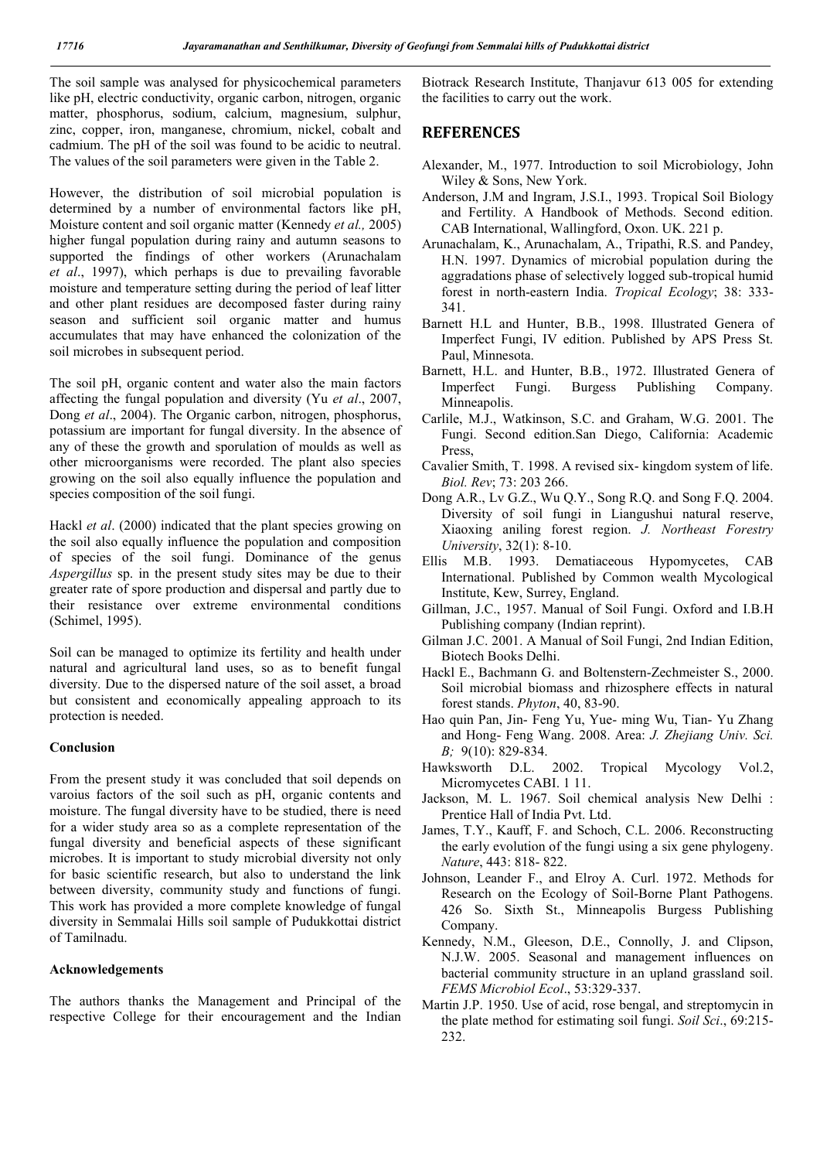The soil sample was analysed for physicochemical parameters like pH, electric conductivity, organic carbon, nitrogen, organic matter, phosphorus, sodium, calcium, magnesium, sulphur, zinc, copper, iron, manganese, chromium, nickel, cobalt and cadmium. The pH of the soil was found to be acidic to neutral. The values of the soil parameters were given in the Table 2.

However, the distribution of soil microbial population is determined by a number of environmental factors like pH, Moisture content and soil organic matter (Kennedy *et al.,* 2005) higher fungal population during rainy and autumn seasons to supported the findings of other workers (Arunachalam *et al*., 1997), which perhaps is due to prevailing favorable moisture and temperature setting during the period of leaf litter and other plant residues are decomposed faster during rainy season and sufficient soil organic matter and humus accumulates that may have enhanced the colonization of the soil microbes in subsequent period.

The soil pH, organic content and water also the main factors affecting the fungal population and diversity (Yu *et al*., 2007, Dong *et al*., 2004). The Organic carbon, nitrogen, phosphorus, potassium are important for fungal diversity. In the absence of any of these the growth and sporulation of moulds as well as other microorganisms were recorded. The plant also species growing on the soil also equally influence the population and species composition of the soil fungi.

Hackl *et al*. (2000) indicated that the plant species growing on the soil also equally influence the population and composition of species of the soil fungi. Dominance of the genus *Aspergillus* sp. in the present study sites may be due to their greater rate of spore production and dispersal and partly due to their resistance over extreme environmental conditions (Schimel, 1995).

Soil can be managed to optimize its fertility and health under natural and agricultural land uses, so as to benefit fungal diversity. Due to the dispersed nature of the soil asset, a broad but consistent and economically appealing approach to its protection is needed.

## **Conclusion**

From the present study it was concluded that soil depends on varoius factors of the soil such as pH, organic contents and moisture. The fungal diversity have to be studied, there is need for a wider study area so as a complete representation of the fungal diversity and beneficial aspects of these significant microbes. It is important to study microbial diversity not only for basic scientific research, but also to understand the link between diversity, community study and functions of fungi. This work has provided a more complete knowledge of fungal diversity in Semmalai Hills soil sample of Pudukkottai district of Tamilnadu.

### **Acknowledgements**

The authors thanks the Management and Principal of the respective College for their encouragement and the Indian

Biotrack Research Institute, Thanjavur 613 005 for extending the facilities to carry out the work.

## **REFERENCES**

- Alexander, M., 1977. Introduction to soil Microbiology, John Wiley & Sons, New York.
- Anderson, J.M and Ingram, J.S.I., 1993. Tropical Soil Biology and Fertility. A Handbook of Methods. Second edition. CAB International, Wallingford, Oxon. UK. 221 p.
- Arunachalam, K., Arunachalam, A., Tripathi, R.S. and Pandey, H.N. 1997. Dynamics of microbial population during the aggradations phase of selectively logged sub-tropical humid forest in north-eastern India. *Tropical Ecology*; 38: 333- 341.
- Barnett H.L and Hunter, B.B., 1998. Illustrated Genera of Imperfect Fungi, IV edition. Published by APS Press St. Paul, Minnesota.
- Barnett, H.L. and Hunter, B.B., 1972. Illustrated Genera of Imperfect Fungi. Burgess Publishing Company. Minneapolis.
- Carlile, M.J., Watkinson, S.C. and Graham, W.G. 2001. The Fungi. Second edition.San Diego, California: Academic Press,
- Cavalier Smith, T. 1998. A revised six- kingdom system of life. *Biol. Rev*; 73: 203 266.
- Dong A.R., Lv G.Z., Wu Q.Y., Song R.Q. and Song F.Q. 2004. Diversity of soil fungi in Liangushui natural reserve, Xiaoxing aniling forest region. *J. Northeast Forestry University*, 32(1): 8-10.
- Ellis M.B. 1993. Dematiaceous Hypomycetes, CAB International. Published by Common wealth Mycological Institute, Kew, Surrey, England.
- Gillman, J.C., 1957. Manual of Soil Fungi. Oxford and I.B.H Publishing company (Indian reprint).
- Gilman J.C. 2001. A Manual of Soil Fungi, 2nd Indian Edition, Biotech Books Delhi.
- Hackl E., Bachmann G. and Boltenstern-Zechmeister S., 2000. Soil microbial biomass and rhizosphere effects in natural forest stands. *Phyton*, 40, 83-90.
- Hao quin Pan, Jin- Feng Yu, Yue- ming Wu, Tian- Yu Zhang and Hong- Feng Wang. 2008. Area: *J. Zhejiang Univ. Sci. B;* 9(10): 829-834.
- Hawksworth D.L. 2002. Tropical Mycology Vol.2, Micromycetes CABI. 1 11.
- Jackson, M. L. 1967. Soil chemical analysis New Delhi : Prentice Hall of India Pvt. Ltd.
- James, T.Y., Kauff, F. and Schoch, C.L. 2006. Reconstructing the early evolution of the fungi using a six gene phylogeny. *Nature*, 443: 818- 822.
- Johnson, Leander F., and Elroy A. Curl. 1972. Methods for Research on the Ecology of Soil-Borne Plant Pathogens. 426 So. Sixth St., Minneapolis Burgess Publishing Company.
- Kennedy, N.M., Gleeson, D.E., Connolly, J. and Clipson, N.J.W. 2005. Seasonal and management influences on bacterial community structure in an upland grassland soil. *FEMS Microbiol Ecol*., 53:329-337.
- Martin J.P. 1950. Use of acid, rose bengal, and streptomycin in the plate method for estimating soil fungi. *Soil Sci*., 69:215- 232.